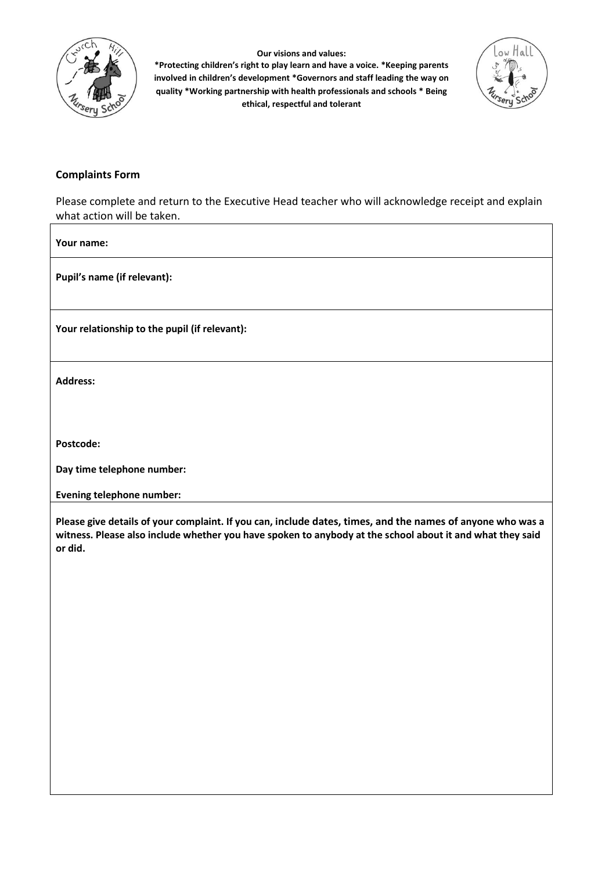

**Our visions and values:**

**\*Protecting children's right to play learn and have a voice. \*Keeping parents involved in children's development \*Governors and staff leading the way on quality \*Working partnership with health professionals and schools \* Being ethical, respectful and tolerant**



## **Complaints Form**

Please complete and return to the Executive Head teacher who will acknowledge receipt and explain what action will be taken.

**Your name:**

**Pupil's name (if relevant):**

**Your relationship to the pupil (if relevant):**

**Address:** 

**Postcode:**

**Day time telephone number:**

**Evening telephone number:**

**Please give details of your complaint. If you can, include dates, times, and the names of anyone who was a witness. Please also include whether you have spoken to anybody at the school about it and what they said or did.**